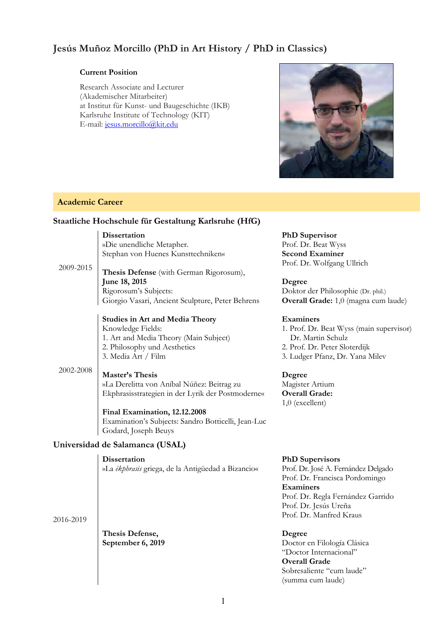# **Jesús Muñoz Morcillo (PhD in Art History / PhD in Classics)**

#### **Current Position**

Research Associate and Lecturer (Akademischer Mitarbeiter) at Institut für Kunst- und Baugeschichte (IKB) Karlsruhe Institute of Technology (KIT) E-mail: jesus.morcillo@kit.edu



# **Academic Career**

# **Staatliche Hochschule für Gestaltung Karlsruhe (HfG)**

**Dissertation**  »Die unendliche Metapher. Stephan von Huenes Kunsttechniken«

2009-2015

**Thesis Defense** (with German Rigorosum), **June 18, 2015**  Rigorosum's Subjects: Giorgio Vasari, Ancient Sculpture, Peter Behrens

#### **Studies in Art and Media Theory**  Knowledge Fields: 1. Art and Media Theory (Main Subject) 2. Philosophy und Aesthetics

3. Media Art / Film

#### 2002-2008 **Master's Thesis**

»La Derelitta von Aníbal Núñez: Beitrag zu Ekphrasisstrategien in der Lyrik der Postmoderne«

**Final Examination, 12.12.2008**  Examination's Subjects: Sandro Botticelli, Jean-Luc Godard, Joseph Beuys

# **Universidad de Salamanca (USAL)**

# **Dissertation**

»La *ékphrasis* griega, de la Antigüedad a Bizancio«

**PhD Supervisor**  Prof. Dr. Beat Wyss **Second Examiner**  Prof. Dr. Wolfgang Ullrich

**Degree**  Doktor der Philosophie (Dr. phil.) **Overall Grade:** 1,0 (magna cum laude)

#### **Examiners**

1. Prof. Dr. Beat Wyss (main supervisor) Dr. Martin Schulz 2. Prof. Dr. Peter Sloterdijk 3. Ludger Pfanz, Dr. Yana Milev

# **Degree**

Magister Artium **Overall Grade:**  1,0 (excellent)

# **PhD Supervisors**

Prof. Dr. José A. Fernández Delgado Prof. Dr. Francisca Pordomingo **Examiners**  Prof. Dr. Regla Fernández Garrido Prof. Dr. Jesús Ureña Prof. Dr. Manfred Kraus

**Degree** 

Doctor en Filología Clásica "Doctor Internacional" **Overall Grade**  Sobresaliente "cum laude" (summa cum laude)

2016-2019

**Thesis Defense, September 6, 2019**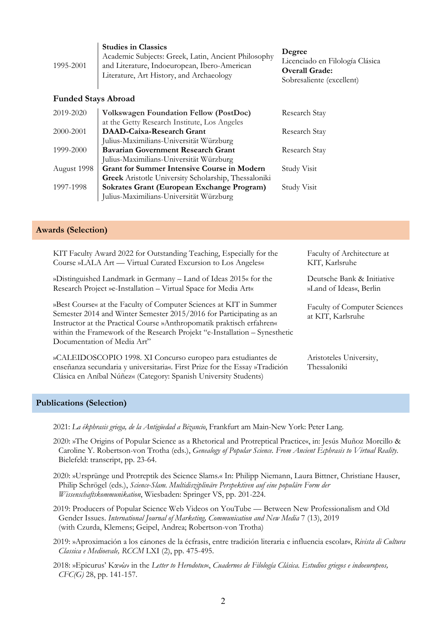| 1995-2001                  | <b>Studies in Classics</b><br>Academic Subjects: Greek, Latin, Ancient Philosophy<br>and Literature, Indoeuropean, Ibero-American<br>Literature, Art History, and Archaeology | Degree<br>Licenciado en Filología Clásica<br><b>Overall Grade:</b><br>Sobresaliente (excellent) |  |  |
|----------------------------|-------------------------------------------------------------------------------------------------------------------------------------------------------------------------------|-------------------------------------------------------------------------------------------------|--|--|
| <b>Funded Stays Abroad</b> |                                                                                                                                                                               |                                                                                                 |  |  |
| 2019-2020                  | <b>Volkswagen Foundation Fellow (PostDoc)</b>                                                                                                                                 | Research Stay                                                                                   |  |  |
|                            | at the Getty Research Institute, Los Angeles                                                                                                                                  |                                                                                                 |  |  |
| 2000-2001                  | <b>DAAD-Caixa-Research Grant</b>                                                                                                                                              | Research Stay                                                                                   |  |  |
|                            | Julius-Maximilians-Universität Würzburg                                                                                                                                       |                                                                                                 |  |  |
| 1999-2000                  | <b>Bavarian Government Research Grant</b>                                                                                                                                     | Research Stay                                                                                   |  |  |
|                            | Julius-Maximilians-Universität Würzburg                                                                                                                                       |                                                                                                 |  |  |
| August 1998                | <b>Grant for Summer Intensive Course in Modern</b>                                                                                                                            | Study Visit                                                                                     |  |  |
|                            | <b>Greek</b> Aristotle University Scholarship, Thessaloniki                                                                                                                   |                                                                                                 |  |  |
| 1997-1998                  | Sokrates Grant (European Exchange Program)                                                                                                                                    | Study Visit                                                                                     |  |  |

#### **Awards (Selection)**

KIT Faculty Award 2022 for Outstanding Teaching, Especially for the Course »LALA Art — Virtual Curated Excursion to Los Angeles«

Julius-Maximilians-Universität Würzburg

»Distinguished Landmark in Germany – Land of Ideas 2015« for the Research Project »e-Installation – Virtual Space for Media Art«

»Best Course« at the Faculty of Computer Sciences at KIT in Summer Semester 2014 and Winter Semester 2015/2016 for Participating as an Instructor at the Practical Course »Anthropomatik praktisch erfahren« within the Framework of the Research Projekt "e-Installation – Synesthetic Documentation of Media Art"

»CALEIDOSCOPIO 1998. XI Concurso europeo para estudiantes de enseñanza secundaria y universitaria«. First Prize for the Essay »Tradición Clásica en Aníbal Núñez« (Category: Spanish University Students)

Faculty of Architecture at KIT, Karlsruhe

Deutsche Bank & Initiative »Land of Ideas«, Berlin

Faculty of Computer Sciences at KIT, Karlsruhe

Aristoteles University, Thessaloniki

#### **Publications (Selection)**

2021: *La ékphrasis griega, de la Antigüedad a Bizancio*, Frankfurt am Main-New York: Peter Lang.

- 2020: »The Origins of Popular Science as a Rhetorical and Protreptical Practice«, in: Jesús Muñoz Morcillo & Caroline Y. Robertson-von Trotha (eds.), *Genealogy of Popular Science. From Ancient Ecphrasis to Virtual Reality*. Bielefeld: transcript, pp. 23-64.
- 2020: »Ursprünge und Protreptik des Science Slams.« In: Philipp Niemann, Laura Bittner, Christiane Hauser, Philip Schrögel (eds.), *Science-Slam. Multidisziplinäre Perspektiven auf eine populäre Form der Wissenschaftskommunikation*, Wiesbaden: Springer VS, pp. 201-224.

2019: Producers of Popular Science Web Videos on YouTube — Between New Professionalism and Old Gender Issues. *International Journal of Marketing, Communication and New Media* 7 (13), 2019 (with Czurda, Klemens; Geipel, Andrea; Robertson-von Trotha)

- 2019: »Aproximación a los cánones de la écfrasis, entre tradición literaria e influencia escolar«, *Rivista di Cultura Classica e Medioevale, RCCM* LXI (2), pp. 475-495.
- 2018: »Epicurus' Κανών in the *Letter to Herodotus*«, *Cuadernos de Filología Clásica. Estudios griegos e indoeuropeos, CFC(G)* 28, pp. 141-157.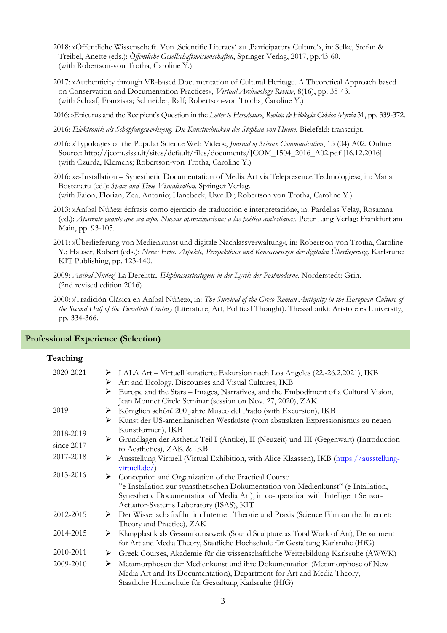- 2018: »Öffentliche Wissenschaft. Von 'Scientific Literacy' zu 'Participatory Culture'«, in: Selke, Stefan & Treibel, Anette (eds.): *Öffentliche Gesellschaftswissenschaften*, Springer Verlag, 2017, pp.43-60. (with Robertson-von Trotha, Caroline Y.)
- 2017: »Authenticity through VR-based Documentation of Cultural Heritage. A Theoretical Approach based on Conservation and Documentation Practices«, *Virtual Archaeology Review*, 8(16), pp. 35-43. (with Schaaf, Franziska; Schneider, Ralf; Robertson-von Trotha, Caroline Y.)
- 2016: »Epicurus and the Recipient's Question in the *Letter to Herodotus*«, *Revista de Filología Clásica Myrtia* 31, pp. 339-372.
- 2016: *Elektronik als Schöpfungswerkzeug. Die Kunsttechniken des Stephan von Huene*. Bielefeld: transcript.
- 2016: »Typologies of the Popular Science Web Video«, *Journal of Science Communication*, 15 (04) A02. Online Source: http://jcom.sissa.it/sites/default/files/documents/JCOM\_1504\_2016\_A02.pdf [16.12.2016]. (with Czurda, Klemens; Robertson-von Trotha, Caroline Y.)
- 2016: »e-Installation Synesthetic Documentation of Media Art via Telepresence Technologies«, in: Maria Bostenaru (ed.): *Space and Time Visualisation*. Springer Verlag. (with Faion, Florian; Zea, Antonio; Hanebeck, Uwe D.; Robertson von Trotha, Caroline Y.)
- 2013: »Aníbal Núñez: écfrasis como ejercicio de traducción e interpretación«, in: Pardellas Velay, Rosamna (ed.): *Aparente guante que sea cepo. Nuevas aproximaciones a las poética anibalianas*. Peter Lang Verlag: Frankfurt am Main, pp. 93-105.
- 2011: »Überlieferung von Medienkunst und digitale Nachlassverwaltung«, in: Robertson-von Trotha, Caroline Y.; Hauser, Robert (eds.): *Neues Erbe. Aspekte, Perspektiven und Konsequenzen der digitalen Überlieferung*. Karlsruhe: KIT Publishing, pp. 123-140.
- 2009: *Aníbal Núñez'* La Derelitta*. Ekphrasisstrategien in der Lyrik der Postmoderne*. Norderstedt: Grin. (2nd revised edition 2016)
- 2000: »Tradición Clásica en Aníbal Núñez«, in: *The Survival of the Greco-Roman Antiquity in the European Culture of the Second Half of the Twentieth Century* (Literature, Art, Political Thought). Thessaloniki: Aristoteles University, pp. 334-366.

| Teaching   |                                                                                                                                                                                                                  |
|------------|------------------------------------------------------------------------------------------------------------------------------------------------------------------------------------------------------------------|
| 2020-2021  | > LALA Art – Virtuell kuratierte Exkursion nach Los Angeles (22.-26.2.2021), IKB<br>Art and Ecology. Discourses and Visual Cultures, IKB<br>➤                                                                    |
|            | Europe and the Stars - Images, Narratives, and the Embodiment of a Cultural Vision,<br>➤<br>Jean Monnet Circle Seminar (session on Nov. 27, 2020), ZAK                                                           |
| 2019       | Königlich schön! 200 Jahre Museo del Prado (with Excursion), IKB<br>➤                                                                                                                                            |
|            | Kunst der US-amerikanischen Westküste (vom abstrakten Expressionismus zu neuen                                                                                                                                   |
| 2018-2019  | Kunstformen), IKB                                                                                                                                                                                                |
| since 2017 | > Grundlagen der Ästhetik Teil I (Antike), II (Neuzeit) und III (Gegenwart) (Introduction<br>to Aesthetics), ZAK & IKB                                                                                           |
| 2017-2018  | Ausstellung Virtuell (Virtual Exhibition, with Alice Klaassen), IKB (https://ausstellung-<br>➤<br>virtuell.de/)                                                                                                  |
| 2013-2016  | > Conception and Organization of the Practical Course                                                                                                                                                            |
|            | "e-Installation zur synästhetischen Dokumentation von Medienkunst" (e-Intallation,                                                                                                                               |
|            | Synesthetic Documentation of Media Art), in co-operation with Intelligent Sensor-<br>Actuator-Systems Laboratory (ISAS), KIT                                                                                     |
| 2012-2015  | > Der Wissenschaftsfilm im Internet: Theorie und Praxis (Science Film on the Internet:                                                                                                                           |
| 2014-2015  | Theory and Practice), ZAK                                                                                                                                                                                        |
|            | Klangplastik als Gesamtkunstwerk (Sound Sculpture as Total Work of Art), Department<br>➤<br>for Art and Media Theory, Staatliche Hochschule für Gestaltung Karlsruhe (HfG)                                       |
| 2010-2011  | Greek Courses, Akademie für die wissenschaftliche Weiterbildung Karlsruhe (AWWK)<br>➤                                                                                                                            |
| 2009-2010  | Metamorphosen der Medienkunst und ihre Dokumentation (Metamorphose of New<br>➤<br>Media Art and Its Documentation), Department for Art and Media Theory,<br>Staatliche Hochschule für Gestaltung Karlsruhe (HfG) |
|            |                                                                                                                                                                                                                  |

#### **Professional Experience (Selection)**

#### **Teaching**